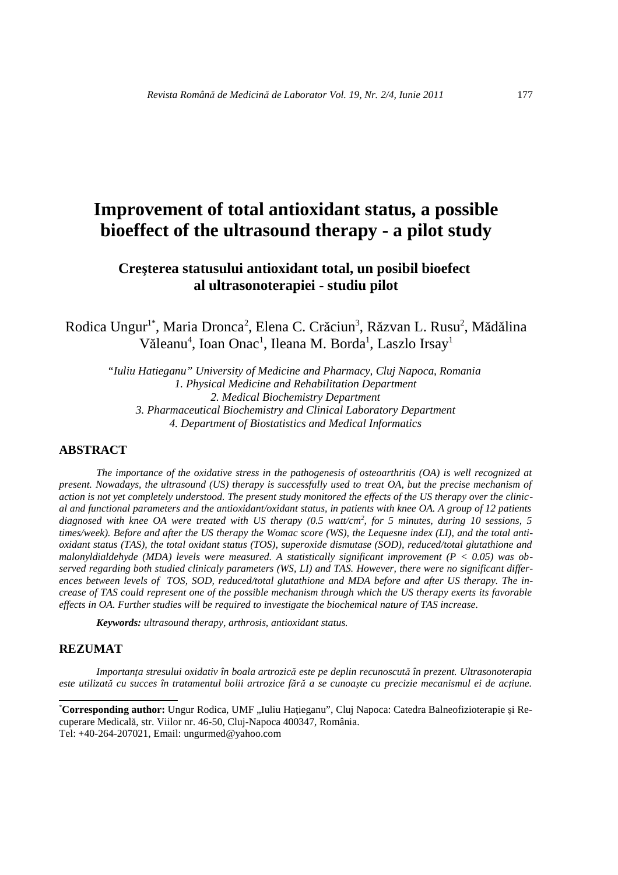# **Improvement of total antioxidant status, a possible bioeffect of the ultrasound therapy - a pilot study**

# **Creşterea statusului antioxidant total, un posibil bioefect al ultrasonoterapiei - studiu pilot**

Rodica Ungur<sup>1\*</sup>, Maria Dronca<sup>2</sup>, Elena C. Crăciun<sup>3</sup>, Răzvan L. Rusu<sup>2</sup>, Mădălina Văleanu<sup>4</sup>, Ioan Onac<sup>1</sup>, Ileana M. Borda<sup>1</sup>, Laszlo Irsay<sup>1</sup>

*"Iuliu Hatieganu" University of Medicine and Pharmacy, Cluj Napoca, Romania 1. Physical Medicine and Rehabilitation Department 2. Medical Biochemistry Department 3. Pharmaceutical Biochemistry and Clinical Laboratory Department 4. Department of Biostatistics and Medical Informatics*

# **ABSTRACT**

*The importance of the oxidative stress in the pathogenesis of osteoarthritis (OA) is well recognized at present. Nowadays, the ultrasound (US) therapy is successfully used to treat OA, but the precise mechanism of action is not yet completely understood. The present study monitored the effects of the US therapy over the clinical and functional parameters and the antioxidant/oxidant status, in patients with knee OA. A group of 12 patients*  diagnosed with knee OA were treated with US therapy (0.5 watt/cm<sup>2</sup>, for 5 minutes, during 10 sessions, 5 *times/week). Before and after the US therapy the Womac score (WS), the Lequesne index (LI), and the total antioxidant status (TAS), the total oxidant status (TOS), superoxide dismutase (SOD), reduced/total glutathione and malonyldialdehyde (MDA) levels were measured. A statistically significant improvement (P < 0.05) was observed regarding both studied clinicaly parameters (WS, LI) and TAS. However, there were no significant differences between levels of TOS, SOD, reduced/total glutathione and MDA before and after US therapy. The increase of TAS could represent one of the possible mechanism through which the US therapy exerts its favorable effects in OA. Further studies will be required to investigate the biochemical nature of TAS increase.*

*Keywords: ultrasound therapy, arthrosis, antioxidant status.*

#### **REZUMAT**

*Importanţa stresului oxidativ în boala artrozică este pe deplin recunoscută în prezent. Ultrasonoterapia este utilizată cu succes în tratamentul bolii artrozice fără a se cunoaşte cu precizie mecanismul ei de acţiune.* 

<sup>\*</sup>**Corresponding author:** Ungur Rodica, UMF "Iuliu Haţieganu", Cluj Napoca: Catedra Balneofizioterapie şi Recuperare Medicală, str. Viilor nr. 46-50, Cluj-Napoca 400347, România. Tel: +40-264-207021, Email: ungurmed@yahoo.com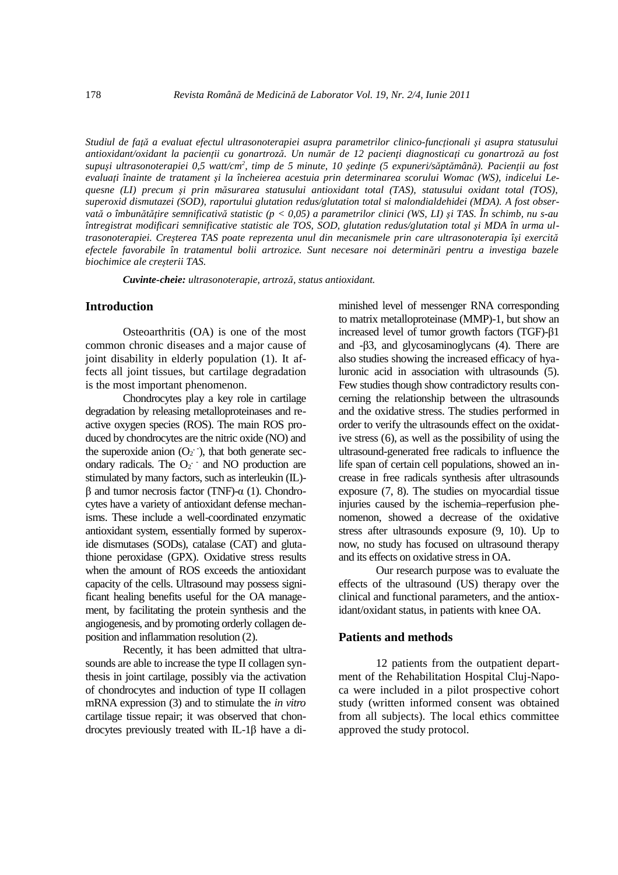*Studiul de faţă a evaluat efectul ultrasonoterapiei asupra parametrilor clinico-funcţionali şi asupra statusului antioxidant/oxidant la pacienţii cu gonartroză. Un număr de 12 pacienţi diagnosticaţi cu gonartroză au fost*  supuși ultrasonoterapiei 0,5 watt/cm<sup>2</sup>, timp de 5 minute, 10 ședințe (5 expuneri/săptămână). Pacienții au fost *evaluaţi înainte de tratament şi la încheierea acestuia prin determinarea scorului Womac (WS), indicelui Lequesne (LI) precum şi prin măsurarea statusului antioxidant total (TAS), statusului oxidant total (TOS), superoxid dismutazei (SOD), raportului glutation redus/glutation total si malondialdehidei (MDA). A fost observată o îmbunătăţire semnificativă statistic (p < 0,05) a parametrilor clinici (WS, LI) şi TAS. În schimb, nu s-au întregistrat modificari semnificative statistic ale TOS, SOD, glutation redus/glutation total şi MDA în urma ultrasonoterapiei. Creşterea TAS poate reprezenta unul din mecanismele prin care ultrasonoterapia îşi exercită efectele favorabile în tratamentul bolii artrozice. Sunt necesare noi determinări pentru a investiga bazele biochimice ale creşterii TAS.*

*Cuvinte-cheie: ultrasonoterapie, artroză, status antioxidant.*

#### **Introduction**

Osteoarthritis (OA) is one of the most common chronic diseases and a major cause of joint disability in elderly population (1). It affects all joint tissues, but cartilage degradation is the most important phenomenon.

Chondrocytes play a key role in cartilage degradation by releasing metalloproteinases and reactive oxygen species (ROS). The main ROS produced by chondrocytes are the nitric oxide (NO) and the superoxide anion  $(O_2)$ ; hat both generate secondary radicals. The O<sub>2</sub> and NO production are stimulated by many factors, such as interleukin (IL) β and tumor necrosis factor (TNF)-α (1). Chondrocytes have a variety of antioxidant defense mechanisms. These include a well-coordinated enzymatic antioxidant system, essentially formed by superoxide dismutases (SODs), catalase (CAT) and glutathione peroxidase (GPX). Oxidative stress results when the amount of ROS exceeds the antioxidant capacity of the cells. Ultrasound may possess significant healing benefits useful for the OA management, by facilitating the protein synthesis and the angiogenesis, and by promoting orderly collagen deposition and inflammation resolution (2).

Recently, it has been admitted that ultrasounds are able to increase the type II collagen synthesis in joint cartilage, possibly via the activation of chondrocytes and induction of type II collagen mRNA expression (3) and to stimulate the *in vitro*  cartilage tissue repair; it was observed that chondrocytes previously treated with IL-1β have a diminished level of messenger RNA corresponding to matrix metalloproteinase (MMP)-1, but show an increased level of tumor growth factors (TGF)-β1 and -β3, and glycosaminoglycans (4). There are also studies showing the increased efficacy of hyaluronic acid in association with ultrasounds (5). Few studies though show contradictory results concerning the relationship between the ultrasounds and the oxidative stress. The studies performed in order to verify the ultrasounds effect on the oxidative stress (6), as well as the possibility of using the ultrasound-generated free radicals to influence the life span of certain cell populations, showed an increase in free radicals synthesis after ultrasounds exposure (7, 8). The studies on myocardial tissue injuries caused by the ischemia–reperfusion phenomenon, showed a decrease of the oxidative stress after ultrasounds exposure (9, 10). Up to now, no study has focused on ultrasound therapy and its effects on oxidative stress in OA.

Our research purpose was to evaluate the effects of the ultrasound (US) therapy over the clinical and functional parameters, and the antioxidant/oxidant status, in patients with knee OA.

#### **Patients and methods**

12 patients from the outpatient department of the Rehabilitation Hospital Cluj-Napoca were included in a pilot prospective cohort study (written informed consent was obtained from all subjects). The local ethics committee approved the study protocol.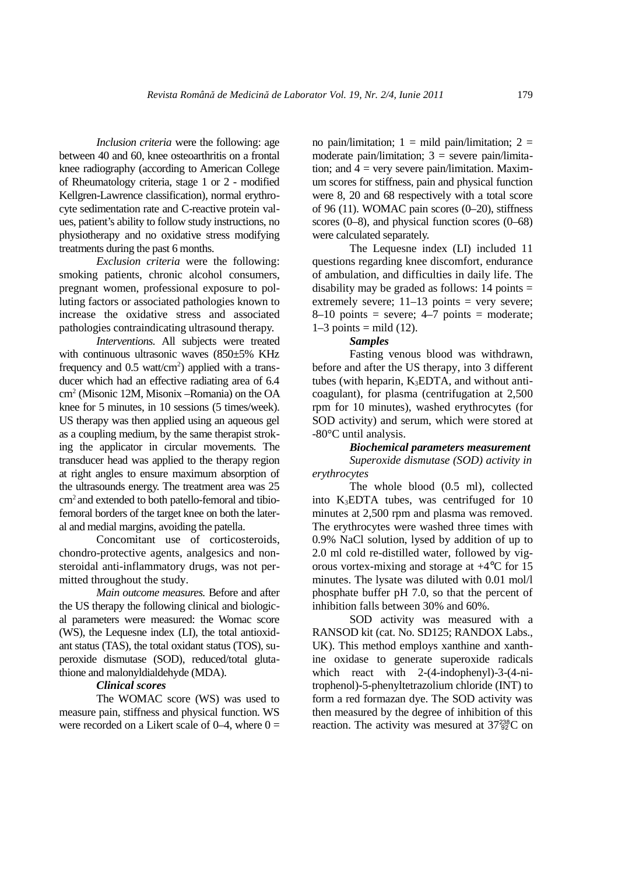*Inclusion criteria* were the following: age between 40 and 60, knee osteoarthritis on a frontal knee radiography (according to American College of Rheumatology criteria, stage 1 or 2 - modified Kellgren-Lawrence classification), normal erythrocyte sedimentation rate and C-reactive protein values, patient's ability to follow study instructions, no physiotherapy and no oxidative stress modifying treatments during the past 6 months.

*Exclusion criteria* were the following: smoking patients, chronic alcohol consumers, pregnant women, professional exposure to polluting factors or associated pathologies known to increase the oxidative stress and associated pathologies contraindicating ultrasound therapy.

*Interventions.* All subjects were treated with continuous ultrasonic waves (850±5% KHz) frequency and  $0.5 \text{ watt/cm}^2$ ) applied with a transducer which had an effective radiating area of 6.4 cm<sup>2</sup> (Misonic 12M, Misonix –Romania) on the OA knee for 5 minutes, in 10 sessions (5 times/week). US therapy was then applied using an aqueous gel as a coupling medium, by the same therapist stroking the applicator in circular movements. The transducer head was applied to the therapy region at right angles to ensure maximum absorption of the ultrasounds energy. The treatment area was 25 cm2 and extended to both patello-femoral and tibiofemoral borders of the target knee on both the lateral and medial margins, avoiding the patella.

Concomitant use of corticosteroids, chondro-protective agents, analgesics and nonsteroidal anti-inflammatory drugs, was not permitted throughout the study.

*Main outcome measures.* Before and after the US therapy the following clinical and biological parameters were measured: the Womac score (WS), the Lequesne index (LI), the total antioxidant status (TAS), the total oxidant status (TOS), superoxide dismutase (SOD), reduced/total glutathione and malonyldialdehyde (MDA).

#### *Clinical scores*

The WOMAC score (WS) was used to measure pain, stiffness and physical function. WS were recorded on a Likert scale of  $0-4$ , where  $0=$ 

no pain/limitation;  $1 =$  mild pain/limitation;  $2 =$ moderate pain/limitation;  $3 =$  severe pain/limitation; and  $4 = \text{very severe pain/limitation}$ . Maximum scores for stiffness, pain and physical function were 8, 20 and 68 respectively with a total score of 96 (11). WOMAC pain scores  $(0-20)$ , stiffness scores (0–8), and physical function scores (0–68) were calculated separately.

The Lequesne index (LI) included 11 questions regarding knee discomfort, endurance of ambulation, and difficulties in daily life. The disability may be graded as follows:  $14$  points  $=$ extremely severe;  $11-13$  points = very severe;  $8-10$  points = severe;  $4-7$  points = moderate;  $1-3$  points = mild (12).

#### *Samples*

Fasting venous blood was withdrawn, before and after the US therapy, into 3 different tubes (with heparin,  $K_3EDTA$ , and without anticoagulant), for plasma (centrifugation at 2,500 rpm for 10 minutes), washed erythrocytes (for SOD activity) and serum, which were stored at -80°C until analysis.

#### *Biochemical parameters measurement*

*Superoxide dismutase (SOD) activity in erythrocytes*

The whole blood (0.5 ml), collected into K3EDTA tubes, was centrifuged for 10 minutes at 2,500 rpm and plasma was removed. The erythrocytes were washed three times with 0.9% NaCl solution, lysed by addition of up to 2.0 ml cold re-distilled water, followed by vigorous vortex-mixing and storage at +4°C for 15 minutes. The lysate was diluted with 0.01 mol/l phosphate buffer pH 7.0, so that the percent of inhibition falls between 30% and 60%.

SOD activity was measured with a RANSOD kit (cat. No. SD125; RANDOX Labs., UK). This method employs xanthine and xanthine oxidase to generate superoxide radicals which react with 2-(4-indophenyl)-3-(4-nitrophenol)-5-phenyltetrazolium chloride (INT) to form a red formazan dye. The SOD activity was then measured by the degree of inhibition of this reaction. The activity was mesured at  $37\frac{238}{92}$ C on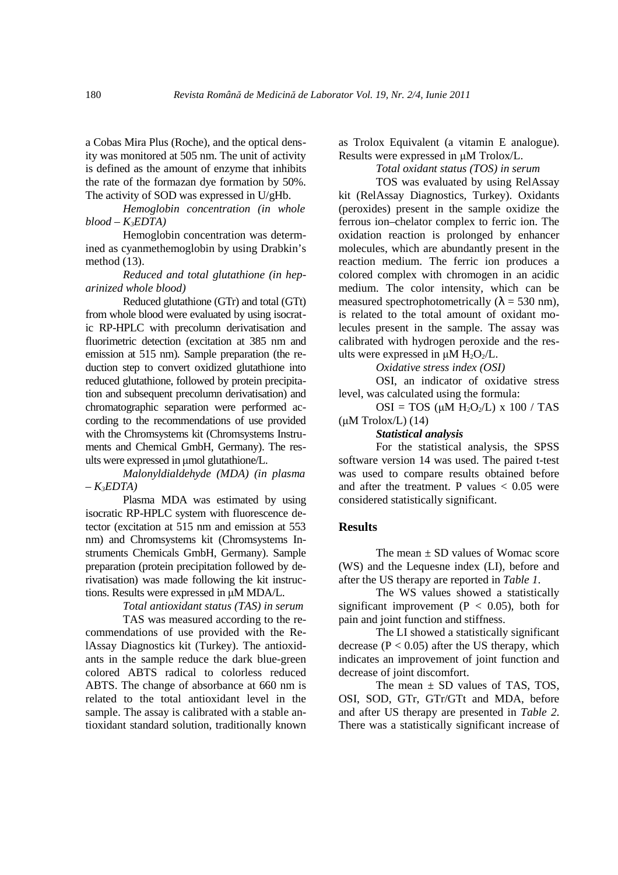a Cobas Mira Plus (Roche), and the optical density was monitored at 505 nm. The unit of activity is defined as the amount of enzyme that inhibits the rate of the formazan dye formation by 50%. The activity of SOD was expressed in U/gHb.

*Hemoglobin concentration (in whole*   $blood - K<sub>3</sub>EDTA)$ 

Hemoglobin concentration was determined as cyanmethemoglobin by using Drabkin's method (13).

*Reduced and total glutathione (in heparinized whole blood)*

Reduced glutathione (GTr) and total (GTt) from whole blood were evaluated by using isocratic RP-HPLC with precolumn derivatisation and fluorimetric detection (excitation at 385 nm and emission at 515 nm). Sample preparation (the reduction step to convert oxidized glutathione into reduced glutathione, followed by protein precipitation and subsequent precolumn derivatisation) and chromatographic separation were performed according to the recommendations of use provided with the Chromsystems kit (Chromsystems Instruments and Chemical GmbH, Germany). The results were expressed in µmol glutathione/L.

*Malonyldialdehyde (MDA) (in plasma – K3EDTA)*

Plasma MDA was estimated by using isocratic RP-HPLC system with fluorescence detector (excitation at 515 nm and emission at 553 nm) and Chromsystems kit (Chromsystems Instruments Chemicals GmbH, Germany). Sample preparation (protein precipitation followed by derivatisation) was made following the kit instructions. Results were expressed in µM MDA/L.

*Total antioxidant status (TAS) in serum*

TAS was measured according to the recommendations of use provided with the RelAssay Diagnostics kit (Turkey). The antioxidants in the sample reduce the dark blue-green colored ABTS radical to colorless reduced ABTS. The change of absorbance at 660 nm is related to the total antioxidant level in the sample. The assay is calibrated with a stable antioxidant standard solution, traditionally known

as Trolox Equivalent (a vitamin E analogue). Results were expressed in µM Trolox/L.

### *Total oxidant status (TOS) in serum*

TOS was evaluated by using RelAssay kit (RelAssay Diagnostics, Turkey). Oxidants (peroxides) present in the sample oxidize the ferrous ion–chelator complex to ferric ion. The oxidation reaction is prolonged by enhancer molecules, which are abundantly present in the reaction medium. The ferric ion produces a colored complex with chromogen in an acidic medium. The color intensity, which can be measured spectrophotometrically ( $\lambda = 530$  nm), is related to the total amount of oxidant molecules present in the sample. The assay was calibrated with hydrogen peroxide and the results were expressed in  $\mu$ M H<sub>2</sub>O<sub>2</sub>/L.

*Oxidative stress index (OSI)*

OSI, an indicator of oxidative stress level, was calculated using the formula:

 $OSI = TOS$  ( $\mu M H_2O_2/L$ ) x 100 / TAS  $(\mu M$  Trolox/L)  $(14)$ 

*Statistical analysis* 

For the statistical analysis, the SPSS software version 14 was used. The paired t-test was used to compare results obtained before and after the treatment. P values  $< 0.05$  were considered statistically significant.

### **Results**

The mean  $\pm$  SD values of Womac score (WS) and the Lequesne index (LI), before and after the US therapy are reported in *Table 1*.

The WS values showed a statistically significant improvement ( $P < 0.05$ ), both for pain and joint function and stiffness.

The LI showed a statistically significant decrease ( $P < 0.05$ ) after the US therapy, which indicates an improvement of joint function and decrease of joint discomfort.

The mean  $\pm$  SD values of TAS, TOS, OSI, SOD, GTr, GTr/GTt and MDA, before and after US therapy are presented in *Table 2*. There was a statistically significant increase of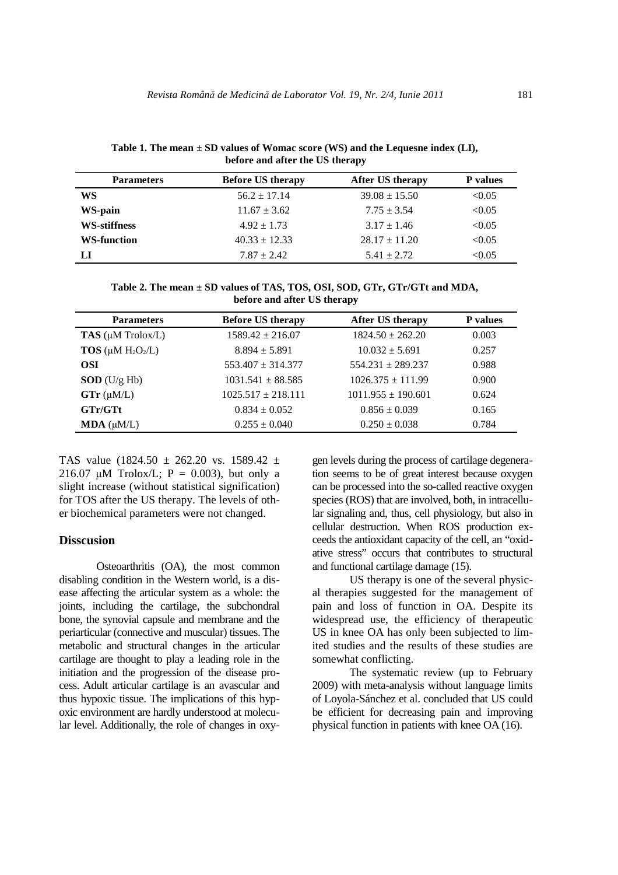**Table 1. The mean ± SD values of Womac score (WS) and the Lequesne index (LI), before and after the US therapy**

| <b>Parameters</b>   | <b>Before US therapy</b> | <b>After US therapy</b> | <b>P</b> values |
|---------------------|--------------------------|-------------------------|-----------------|
| WS                  | $56.2 \pm 17.14$         | $39.08 \pm 15.50$       | < 0.05          |
| WS-pain             | $11.67 \pm 3.62$         | $7.75 \pm 3.54$         | < 0.05          |
| <b>WS-stiffness</b> | $4.92 \pm 1.73$          | $3.17 \pm 1.46$         | < 0.05          |
| <b>WS-function</b>  | $40.33 \pm 12.33$        | $28.17 \pm 11.20$       | < 0.05          |
| LI                  | $7.87 + 2.42$            | $5.41 + 2.72$           | < 0.05          |

**Table 2. The mean ± SD values of TAS, TOS, OSI, SOD, GTr, GTr/GTt and MDA, before and after US therapy**

| <b>Parameters</b>              | <b>Before US therapy</b> | After US therapy       | <b>P</b> values |
|--------------------------------|--------------------------|------------------------|-----------------|
| TAS $(\mu M \text{ Trolox/L})$ | $1589.42 \pm 216.07$     | $1824.50 \pm 262.20$   | 0.003           |
| $TOS$ (µM $H_2O_2/L$ )         | $8.894 \pm 5.891$        | $10.032 + 5.691$       | 0.257           |
| OSI                            | $553.407 \pm 314.377$    | $554.231 \pm 289.237$  | 0.988           |
| $SOD$ (U/g Hb)                 | $1031.541 + 88.585$      | $1026.375 \pm 111.99$  | 0.900           |
| $GTr (\mu M/L)$                | $1025.517 \pm 218.111$   | $1011.955 \pm 190.601$ | 0.624           |
| GTr/GTt                        | $0.834 \pm 0.052$        | $0.856 \pm 0.039$      | 0.165           |
| $MDA$ ( $\mu M/L$ )            | $0.255 \pm 0.040$        | $0.250 \pm 0.038$      | 0.784           |

TAS value (1824.50  $\pm$  262.20 vs. 1589.42  $\pm$ 216.07  $\mu$ M Trolox/L; P = 0.003), but only a slight increase (without statistical signification) for TOS after the US therapy. The levels of other biochemical parameters were not changed.

## **Disscusion**

Osteoarthritis (OA), the most common disabling condition in the Western world, is a disease affecting the articular system as a whole: the joints, including the cartilage, the subchondral bone, the synovial capsule and membrane and the periarticular (connective and muscular) tissues. The metabolic and structural changes in the articular cartilage are thought to play a leading role in the initiation and the progression of the disease process. Adult articular cartilage is an avascular and thus hypoxic tissue. The implications of this hypoxic environment are hardly understood at molecular level. Additionally, the role of changes in oxy-

gen levels during the process of cartilage degeneration seems to be of great interest because oxygen can be processed into the so-called reactive oxygen species (ROS) that are involved, both, in intracellular signaling and, thus, cell physiology, but also in cellular destruction. When ROS production exceeds the antioxidant capacity of the cell, an "oxidative stress" occurs that contributes to structural and functional cartilage damage (15).

US therapy is one of the several physical therapies suggested for the management of pain and loss of function in OA. Despite its widespread use, the efficiency of therapeutic US in knee OA has only been subjected to limited studies and the results of these studies are somewhat conflicting.

The systematic review (up to February 2009) with meta-analysis without language limits of Loyola-Sánchez et al. concluded that US could be efficient for decreasing pain and improving physical function in patients with knee OA (16).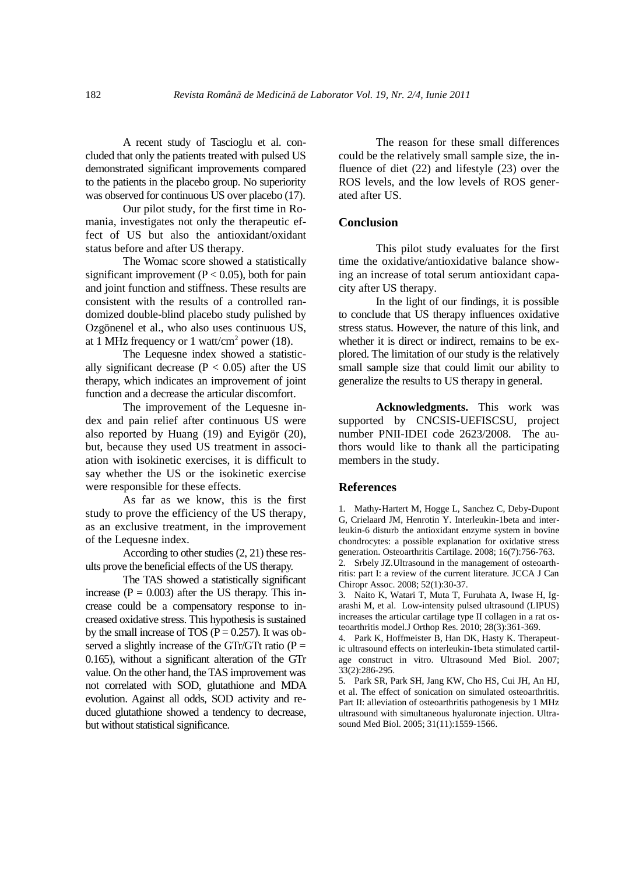A recent study of Tascioglu et al. concluded that only the patients treated with pulsed US demonstrated significant improvements compared to the patients in the placebo group. No superiority was observed for continuous US over placebo (17).

Our pilot study, for the first time in Romania, investigates not only the therapeutic effect of US but also the antioxidant/oxidant status before and after US therapy.

The Womac score showed a statistically significant improvement ( $P < 0.05$ ), both for pain and joint function and stiffness. These results are consistent with the results of a controlled randomized double-blind placebo study pulished by Ozgönenel et al., who also uses continuous US, at 1 MHz frequency or 1 watt/cm<sup>2</sup> power (18).

The Lequesne index showed a statistically significant decrease ( $P < 0.05$ ) after the US therapy, which indicates an improvement of joint function and a decrease the articular discomfort.

The improvement of the Lequesne index and pain relief after continuous US were also reported by Huang (19) and Eyigör (20), but, because they used US treatment in association with isokinetic exercises, it is difficult to say whether the US or the isokinetic exercise were responsible for these effects.

As far as we know, this is the first study to prove the efficiency of the US therapy, as an exclusive treatment, in the improvement of the Lequesne index.

According to other studies (2, 21) these results prove the beneficial effects of the US therapy.

The TAS showed a statistically significant increase ( $P = 0.003$ ) after the US therapy. This increase could be a compensatory response to increased oxidative stress. This hypothesis is sustained by the small increase of TOS ( $P = 0.257$ ). It was observed a slightly increase of the GTr/GTt ratio ( $P =$ 0.165), without a significant alteration of the GTr value. On the other hand, the TAS improvement was not correlated with SOD, glutathione and MDA evolution. Against all odds, SOD activity and reduced glutathione showed a tendency to decrease, but without statistical significance.

The reason for these small differences could be the relatively small sample size, the influence of diet (22) and lifestyle (23) over the ROS levels, and the low levels of ROS generated after US.

#### **Conclusion**

This pilot study evaluates for the first time the oxidative/antioxidative balance showing an increase of total serum antioxidant capacity after US therapy.

In the light of our findings, it is possible to conclude that US therapy influences oxidative stress status. However, the nature of this link, and whether it is direct or indirect, remains to be explored. The limitation of our study is the relatively small sample size that could limit our ability to generalize the results to US therapy in general.

**Acknowledgments.** This work was supported by CNCSIS-UEFISCSU, project number PNII-IDEI code 2623/2008. The authors would like to thank all the participating members in the study.

#### **References**

1. Mathy-Hartert M, Hogge L, Sanchez C, Deby-Dupont G, Crielaard JM, Henrotin Y. Interleukin-1beta and interleukin-6 disturb the antioxidant enzyme system in bovine chondrocytes: a possible explanation for oxidative stress generation. Osteoarthritis Cartilage. 2008; 16(7):756-763.

2. Srbely JZ.Ultrasound in the management of osteoarthritis: part I: a review of the current literature. JCCA J Can Chiropr Assoc. 2008; 52(1):30-37.

3. Naito K, Watari T, Muta T, Furuhata A, Iwase H, Igarashi M, et al. Low-intensity pulsed ultrasound (LIPUS) increases the articular cartilage type II collagen in a rat osteoarthritis model.J Orthop Res. 2010; 28(3):361-369.

4. Park K, Hoffmeister B, Han DK, Hasty K. Therapeutic ultrasound effects on interleukin-1beta stimulated cartilage construct in vitro. Ultrasound Med Biol. 2007; 33(2):286-295.

5. Park SR, Park SH, Jang KW, Cho HS, Cui JH, An HJ, et al. The effect of sonication on simulated osteoarthritis. Part II: alleviation of osteoarthritis pathogenesis by 1 MHz ultrasound with simultaneous hyaluronate injection. Ultrasound Med Biol. 2005; 31(11):1559-1566.